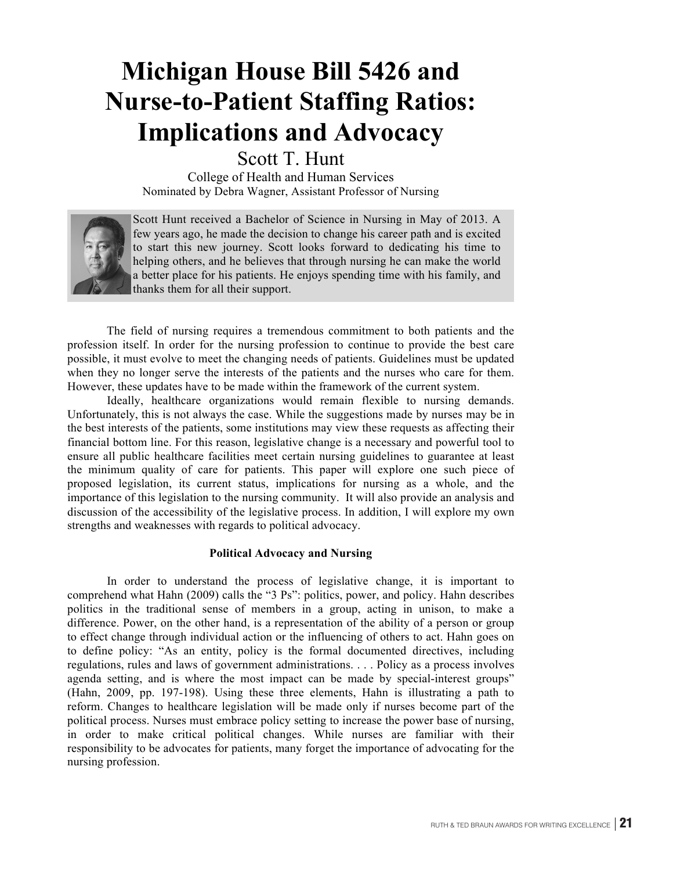# **Michigan House Bill 5426 and Nurse-to-Patient Staffing Ratios: Implications and Advocacy**

Scott T. Hunt

College of Health and Human Services Nominated by Debra Wagner, Assistant Professor of Nursing



Scott Hunt received a Bachelor of Science in Nursing in May of 2013. A few years ago, he made the decision to change his career path and is excited to start this new journey. Scott looks forward to dedicating his time to helping others, and he believes that through nursing he can make the world a better place for his patients. He enjoys spending time with his family, and thanks them for all their support.

The field of nursing requires a tremendous commitment to both patients and the profession itself. In order for the nursing profession to continue to provide the best care possible, it must evolve to meet the changing needs of patients. Guidelines must be updated when they no longer serve the interests of the patients and the nurses who care for them. However, these updates have to be made within the framework of the current system.

Ideally, healthcare organizations would remain flexible to nursing demands. Unfortunately, this is not always the case. While the suggestions made by nurses may be in the best interests of the patients, some institutions may view these requests as affecting their financial bottom line. For this reason, legislative change is a necessary and powerful tool to ensure all public healthcare facilities meet certain nursing guidelines to guarantee at least the minimum quality of care for patients. This paper will explore one such piece of proposed legislation, its current status, implications for nursing as a whole, and the importance of this legislation to the nursing community. It will also provide an analysis and discussion of the accessibility of the legislative process. In addition, I will explore my own strengths and weaknesses with regards to political advocacy.

## **Political Advocacy and Nursing**

In order to understand the process of legislative change, it is important to comprehend what Hahn (2009) calls the "3 Ps": politics, power, and policy. Hahn describes politics in the traditional sense of members in a group, acting in unison, to make a difference. Power, on the other hand, is a representation of the ability of a person or group to effect change through individual action or the influencing of others to act. Hahn goes on to define policy: "As an entity, policy is the formal documented directives, including regulations, rules and laws of government administrations. . . . Policy as a process involves agenda setting, and is where the most impact can be made by special-interest groups" (Hahn, 2009, pp. 197-198). Using these three elements, Hahn is illustrating a path to reform. Changes to healthcare legislation will be made only if nurses become part of the political process. Nurses must embrace policy setting to increase the power base of nursing, in order to make critical political changes. While nurses are familiar with their responsibility to be advocates for patients, many forget the importance of advocating for the nursing profession.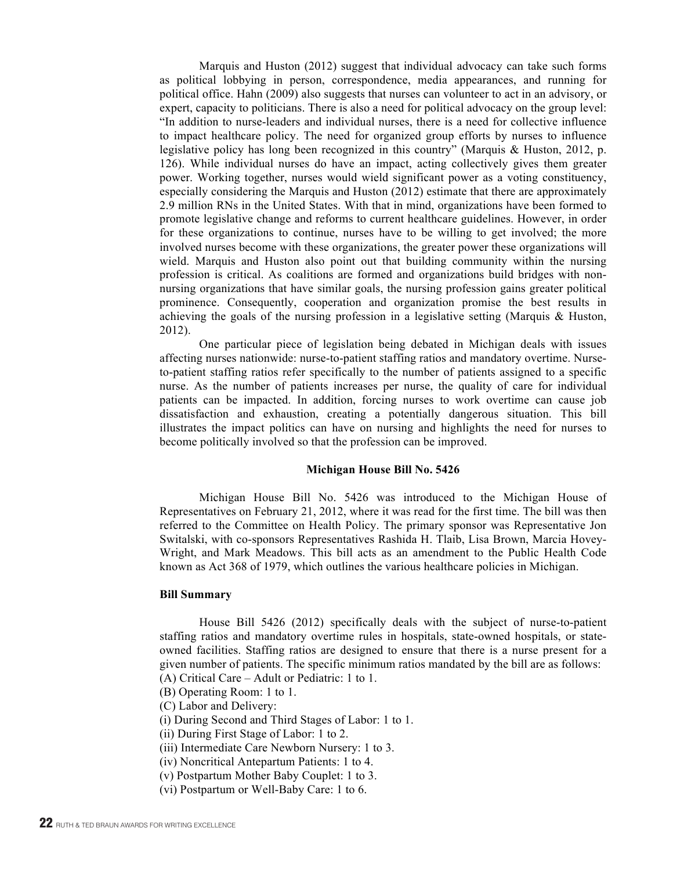Marquis and Huston (2012) suggest that individual advocacy can take such forms as political lobbying in person, correspondence, media appearances, and running for political office. Hahn (2009) also suggests that nurses can volunteer to act in an advisory, or expert, capacity to politicians. There is also a need for political advocacy on the group level: "In addition to nurse-leaders and individual nurses, there is a need for collective influence to impact healthcare policy. The need for organized group efforts by nurses to influence legislative policy has long been recognized in this country" (Marquis & Huston, 2012, p. 126). While individual nurses do have an impact, acting collectively gives them greater power. Working together, nurses would wield significant power as a voting constituency, especially considering the Marquis and Huston (2012) estimate that there are approximately 2.9 million RNs in the United States. With that in mind, organizations have been formed to promote legislative change and reforms to current healthcare guidelines. However, in order for these organizations to continue, nurses have to be willing to get involved; the more involved nurses become with these organizations, the greater power these organizations will wield. Marquis and Huston also point out that building community within the nursing profession is critical. As coalitions are formed and organizations build bridges with nonnursing organizations that have similar goals, the nursing profession gains greater political prominence. Consequently, cooperation and organization promise the best results in achieving the goals of the nursing profession in a legislative setting (Marquis & Huston, 2012).

One particular piece of legislation being debated in Michigan deals with issues affecting nurses nationwide: nurse-to-patient staffing ratios and mandatory overtime. Nurseto-patient staffing ratios refer specifically to the number of patients assigned to a specific nurse. As the number of patients increases per nurse, the quality of care for individual patients can be impacted. In addition, forcing nurses to work overtime can cause job dissatisfaction and exhaustion, creating a potentially dangerous situation. This bill illustrates the impact politics can have on nursing and highlights the need for nurses to become politically involved so that the profession can be improved.

#### **Michigan House Bill No. 5426**

Michigan House Bill No. 5426 was introduced to the Michigan House of Representatives on February 21, 2012, where it was read for the first time. The bill was then referred to the Committee on Health Policy. The primary sponsor was Representative Jon Switalski, with co-sponsors Representatives Rashida H. Tlaib, Lisa Brown, Marcia Hovey-Wright, and Mark Meadows. This bill acts as an amendment to the Public Health Code known as Act 368 of 1979, which outlines the various healthcare policies in Michigan.

#### **Bill Summary**

House Bill 5426 (2012) specifically deals with the subject of nurse-to-patient staffing ratios and mandatory overtime rules in hospitals, state-owned hospitals, or stateowned facilities. Staffing ratios are designed to ensure that there is a nurse present for a given number of patients. The specific minimum ratios mandated by the bill are as follows:

- (A) Critical Care Adult or Pediatric: 1 to 1.
- (B) Operating Room: 1 to 1.
- (C) Labor and Delivery:
- (i) During Second and Third Stages of Labor: 1 to 1.
- (ii) During First Stage of Labor: 1 to 2.
- (iii) Intermediate Care Newborn Nursery: 1 to 3.
- (iv) Noncritical Antepartum Patients: 1 to 4.
- (v) Postpartum Mother Baby Couplet: 1 to 3.
- (vi) Postpartum or Well-Baby Care: 1 to 6.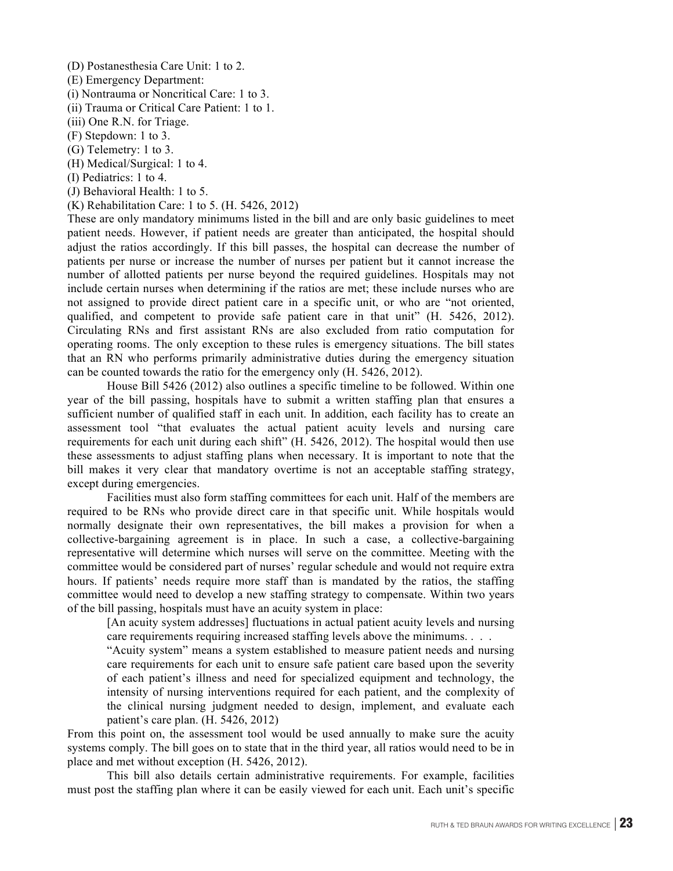(D) Postanesthesia Care Unit: 1 to 2.

(E) Emergency Department:

(i) Nontrauma or Noncritical Care: 1 to 3.

(ii) Trauma or Critical Care Patient: 1 to 1.

(iii) One R.N. for Triage.

(F) Stepdown: 1 to 3.

(G) Telemetry: 1 to 3.

(H) Medical/Surgical: 1 to 4.

(I) Pediatrics: 1 to 4.

(J) Behavioral Health: 1 to 5.

(K) Rehabilitation Care: 1 to 5. (H. 5426, 2012)

These are only mandatory minimums listed in the bill and are only basic guidelines to meet patient needs. However, if patient needs are greater than anticipated, the hospital should adjust the ratios accordingly. If this bill passes, the hospital can decrease the number of patients per nurse or increase the number of nurses per patient but it cannot increase the number of allotted patients per nurse beyond the required guidelines. Hospitals may not include certain nurses when determining if the ratios are met; these include nurses who are not assigned to provide direct patient care in a specific unit, or who are "not oriented, qualified, and competent to provide safe patient care in that unit" (H. 5426, 2012). Circulating RNs and first assistant RNs are also excluded from ratio computation for operating rooms. The only exception to these rules is emergency situations. The bill states that an RN who performs primarily administrative duties during the emergency situation can be counted towards the ratio for the emergency only (H. 5426, 2012).

House Bill 5426 (2012) also outlines a specific timeline to be followed. Within one year of the bill passing, hospitals have to submit a written staffing plan that ensures a sufficient number of qualified staff in each unit. In addition, each facility has to create an assessment tool "that evaluates the actual patient acuity levels and nursing care requirements for each unit during each shift" (H. 5426, 2012). The hospital would then use these assessments to adjust staffing plans when necessary. It is important to note that the bill makes it very clear that mandatory overtime is not an acceptable staffing strategy, except during emergencies.

Facilities must also form staffing committees for each unit. Half of the members are required to be RNs who provide direct care in that specific unit. While hospitals would normally designate their own representatives, the bill makes a provision for when a collective-bargaining agreement is in place. In such a case, a collective-bargaining representative will determine which nurses will serve on the committee. Meeting with the committee would be considered part of nurses' regular schedule and would not require extra hours. If patients' needs require more staff than is mandated by the ratios, the staffing committee would need to develop a new staffing strategy to compensate. Within two years of the bill passing, hospitals must have an acuity system in place:

[An acuity system addresses] fluctuations in actual patient acuity levels and nursing care requirements requiring increased staffing levels above the minimums. . . .

"Acuity system" means a system established to measure patient needs and nursing care requirements for each unit to ensure safe patient care based upon the severity of each patient's illness and need for specialized equipment and technology, the intensity of nursing interventions required for each patient, and the complexity of the clinical nursing judgment needed to design, implement, and evaluate each patient's care plan. (H. 5426, 2012)

From this point on, the assessment tool would be used annually to make sure the acuity systems comply. The bill goes on to state that in the third year, all ratios would need to be in place and met without exception (H. 5426, 2012).

This bill also details certain administrative requirements. For example, facilities must post the staffing plan where it can be easily viewed for each unit. Each unit's specific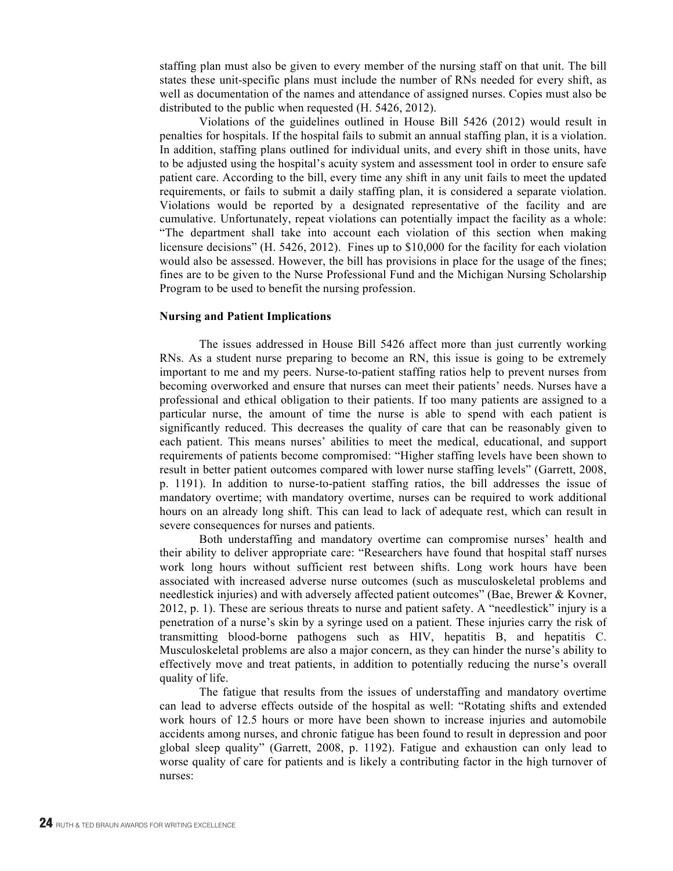staffing plan must also be given to every member of the nursing staff on that unit. The bill states these unit-specific plans must include the number of RNs needed for every shift, as well as documentation of the names and attendance of assigned nurses. Copies must also be distributed to the public when requested (H. 5426, 2012).

Violations of the guidelines outlined in House Bill 5426 (2012) would result in penalties for hospitals. If the hospital fails to submit an annual staffing plan, it is a violation. In addition, staffing plans outlined for individual units, and every shift in those units, have to be adjusted using the hospital's acuity system and assessment tool in order to ensure safe patient care. According to the bill, every time any shift in any unit fails to meet the updated requirements, or fails to submit a daily staffing plan, it is considered a separate violation. Violations would be reported by a designated representative of the facility and are cumulative. Unfortunately, repeat violations can potentially impact the facility as a whole: "The department shall take into account each violation of this section when making licensure decisions" (H. 5426, 2012). Fines up to \$10,000 for the facility for each violation would also be assessed. However, the bill has provisions in place for the usage of the fines; fines are to be given to the Nurse Professional Fund and the Michigan Nursing Scholarship Program to be used to benefit the nursing profession.

#### **Nursing and Patient Implications**

The issues addressed in House Bill 5426 affect more than just currently working RNs. As a student nurse preparing to become an RN, this issue is going to be extremely important to me and my peers. Nurse-to-patient staffing ratios help to prevent nurses from becoming overworked and ensure that nurses can meet their patients' needs. Nurses have a professional and ethical obligation to their patients. If too many patients are assigned to a particular nurse, the amount of time the nurse is able to spend with each patient is significantly reduced. This decreases the quality of care that can be reasonably given to each patient. This means nurses' abilities to meet the medical, educational, and support requirements of patients become compromised: "Higher staffing levels have been shown to result in better patient outcomes compared with lower nurse staffing levels" (Garrett, 2008, p. 1191). In addition to nurse-to-patient staffing ratios, the bill addresses the issue of mandatory overtime; with mandatory overtime, nurses can be required to work additional hours on an already long shift. This can lead to lack of adequate rest, which can result in severe consequences for nurses and patients.

Both understaffing and mandatory overtime can compromise nurses' health and their ability to deliver appropriate care: "Researchers have found that hospital staff nurses work long hours without sufficient rest between shifts. Long work hours have been associated with increased adverse nurse outcomes (such as musculoskeletal problems and needlestick injuries) and with adversely affected patient outcomes" (Bae, Brewer & Kovner, 2012, p. 1). These are serious threats to nurse and patient safety. A "needlestick" injury is a penetration of a nurse's skin by a syringe used on a patient. These injuries carry the risk of transmitting blood-borne pathogens such as HIV, hepatitis B, and hepatitis C. Musculoskeletal problems are also a major concern, as they can hinder the nurse's ability to effectively move and treat patients, in addition to potentially reducing the nurse's overall quality of life.

The fatigue that results from the issues of understaffing and mandatory overtime can lead to adverse effects outside of the hospital as well: "Rotating shifts and extended work hours of 12.5 hours or more have been shown to increase injuries and automobile accidents among nurses, and chronic fatigue has been found to result in depression and poor global sleep quality" (Garrett, 2008, p. 1192). Fatigue and exhaustion can only lead to worse quality of care for patients and is likely a contributing factor in the high turnover of nurses: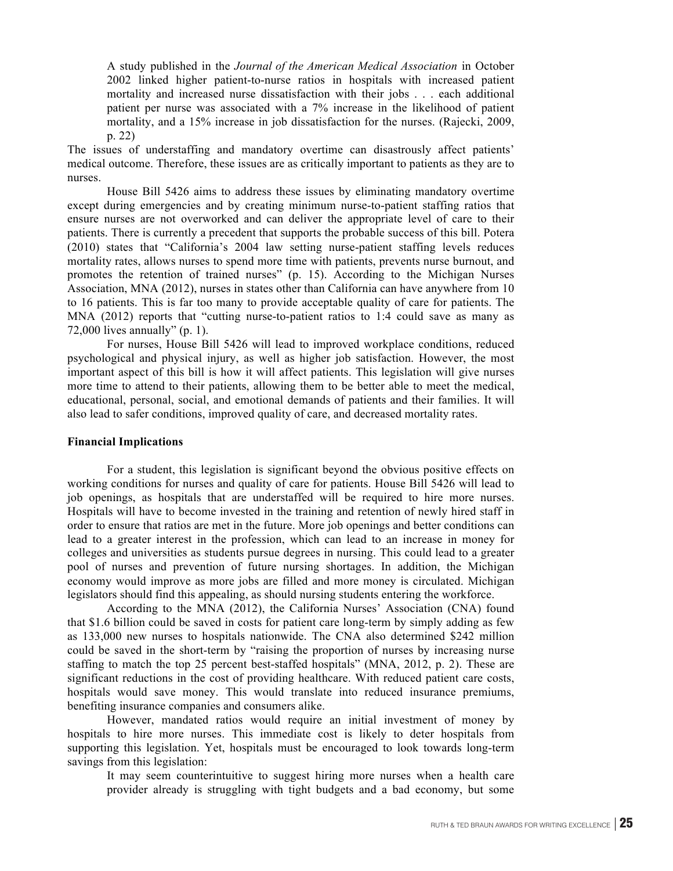A study published in the *Journal of the American Medical Association* in October 2002 linked higher patient-to-nurse ratios in hospitals with increased patient mortality and increased nurse dissatisfaction with their jobs . . . each additional patient per nurse was associated with a 7% increase in the likelihood of patient mortality, and a 15% increase in job dissatisfaction for the nurses. (Rajecki, 2009, p. 22)

The issues of understaffing and mandatory overtime can disastrously affect patients' medical outcome. Therefore, these issues are as critically important to patients as they are to nurses.

House Bill 5426 aims to address these issues by eliminating mandatory overtime except during emergencies and by creating minimum nurse-to-patient staffing ratios that ensure nurses are not overworked and can deliver the appropriate level of care to their patients. There is currently a precedent that supports the probable success of this bill. Potera (2010) states that "California's 2004 law setting nurse-patient staffing levels reduces mortality rates, allows nurses to spend more time with patients, prevents nurse burnout, and promotes the retention of trained nurses" (p. 15). According to the Michigan Nurses Association, MNA (2012), nurses in states other than California can have anywhere from 10 to 16 patients. This is far too many to provide acceptable quality of care for patients. The MNA (2012) reports that "cutting nurse-to-patient ratios to 1:4 could save as many as 72,000 lives annually" (p. 1).

For nurses, House Bill 5426 will lead to improved workplace conditions, reduced psychological and physical injury, as well as higher job satisfaction. However, the most important aspect of this bill is how it will affect patients. This legislation will give nurses more time to attend to their patients, allowing them to be better able to meet the medical, educational, personal, social, and emotional demands of patients and their families. It will also lead to safer conditions, improved quality of care, and decreased mortality rates.

#### **Financial Implications**

For a student, this legislation is significant beyond the obvious positive effects on working conditions for nurses and quality of care for patients. House Bill 5426 will lead to job openings, as hospitals that are understaffed will be required to hire more nurses. Hospitals will have to become invested in the training and retention of newly hired staff in order to ensure that ratios are met in the future. More job openings and better conditions can lead to a greater interest in the profession, which can lead to an increase in money for colleges and universities as students pursue degrees in nursing. This could lead to a greater pool of nurses and prevention of future nursing shortages. In addition, the Michigan economy would improve as more jobs are filled and more money is circulated. Michigan legislators should find this appealing, as should nursing students entering the workforce.

According to the MNA (2012), the California Nurses' Association (CNA) found that \$1.6 billion could be saved in costs for patient care long-term by simply adding as few as 133,000 new nurses to hospitals nationwide. The CNA also determined \$242 million could be saved in the short-term by "raising the proportion of nurses by increasing nurse staffing to match the top 25 percent best-staffed hospitals" (MNA, 2012, p. 2). These are significant reductions in the cost of providing healthcare. With reduced patient care costs, hospitals would save money. This would translate into reduced insurance premiums, benefiting insurance companies and consumers alike.

However, mandated ratios would require an initial investment of money by hospitals to hire more nurses. This immediate cost is likely to deter hospitals from supporting this legislation. Yet, hospitals must be encouraged to look towards long-term savings from this legislation:

It may seem counterintuitive to suggest hiring more nurses when a health care provider already is struggling with tight budgets and a bad economy, but some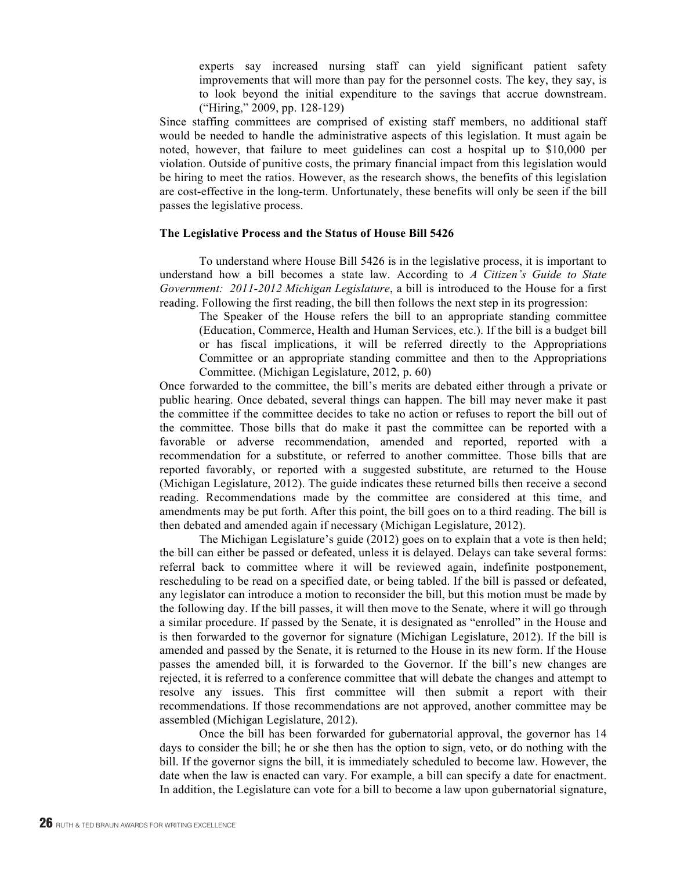experts say increased nursing staff can yield significant patient safety improvements that will more than pay for the personnel costs. The key, they say, is to look beyond the initial expenditure to the savings that accrue downstream. ("Hiring," 2009, pp. 128-129)

Since staffing committees are comprised of existing staff members, no additional staff would be needed to handle the administrative aspects of this legislation. It must again be noted, however, that failure to meet guidelines can cost a hospital up to \$10,000 per violation. Outside of punitive costs, the primary financial impact from this legislation would be hiring to meet the ratios. However, as the research shows, the benefits of this legislation are cost-effective in the long-term. Unfortunately, these benefits will only be seen if the bill passes the legislative process.

### **The Legislative Process and the Status of House Bill 5426**

To understand where House Bill 5426 is in the legislative process, it is important to understand how a bill becomes a state law. According to *A Citizen's Guide to State Government: 2011-2012 Michigan Legislature*, a bill is introduced to the House for a first reading. Following the first reading, the bill then follows the next step in its progression:

The Speaker of the House refers the bill to an appropriate standing committee (Education, Commerce, Health and Human Services, etc.). If the bill is a budget bill or has fiscal implications, it will be referred directly to the Appropriations Committee or an appropriate standing committee and then to the Appropriations Committee. (Michigan Legislature, 2012, p. 60)

Once forwarded to the committee, the bill's merits are debated either through a private or public hearing. Once debated, several things can happen. The bill may never make it past the committee if the committee decides to take no action or refuses to report the bill out of the committee. Those bills that do make it past the committee can be reported with a favorable or adverse recommendation, amended and reported, reported with a recommendation for a substitute, or referred to another committee. Those bills that are reported favorably, or reported with a suggested substitute, are returned to the House (Michigan Legislature, 2012). The guide indicates these returned bills then receive a second reading. Recommendations made by the committee are considered at this time, and amendments may be put forth. After this point, the bill goes on to a third reading. The bill is then debated and amended again if necessary (Michigan Legislature, 2012).

The Michigan Legislature's guide (2012) goes on to explain that a vote is then held; the bill can either be passed or defeated, unless it is delayed. Delays can take several forms: referral back to committee where it will be reviewed again, indefinite postponement, rescheduling to be read on a specified date, or being tabled. If the bill is passed or defeated, any legislator can introduce a motion to reconsider the bill, but this motion must be made by the following day. If the bill passes, it will then move to the Senate, where it will go through a similar procedure. If passed by the Senate, it is designated as "enrolled" in the House and is then forwarded to the governor for signature (Michigan Legislature, 2012). If the bill is amended and passed by the Senate, it is returned to the House in its new form. If the House passes the amended bill, it is forwarded to the Governor. If the bill's new changes are rejected, it is referred to a conference committee that will debate the changes and attempt to resolve any issues. This first committee will then submit a report with their recommendations. If those recommendations are not approved, another committee may be assembled (Michigan Legislature, 2012).

Once the bill has been forwarded for gubernatorial approval, the governor has 14 days to consider the bill; he or she then has the option to sign, veto, or do nothing with the bill. If the governor signs the bill, it is immediately scheduled to become law. However, the date when the law is enacted can vary. For example, a bill can specify a date for enactment. In addition, the Legislature can vote for a bill to become a law upon gubernatorial signature,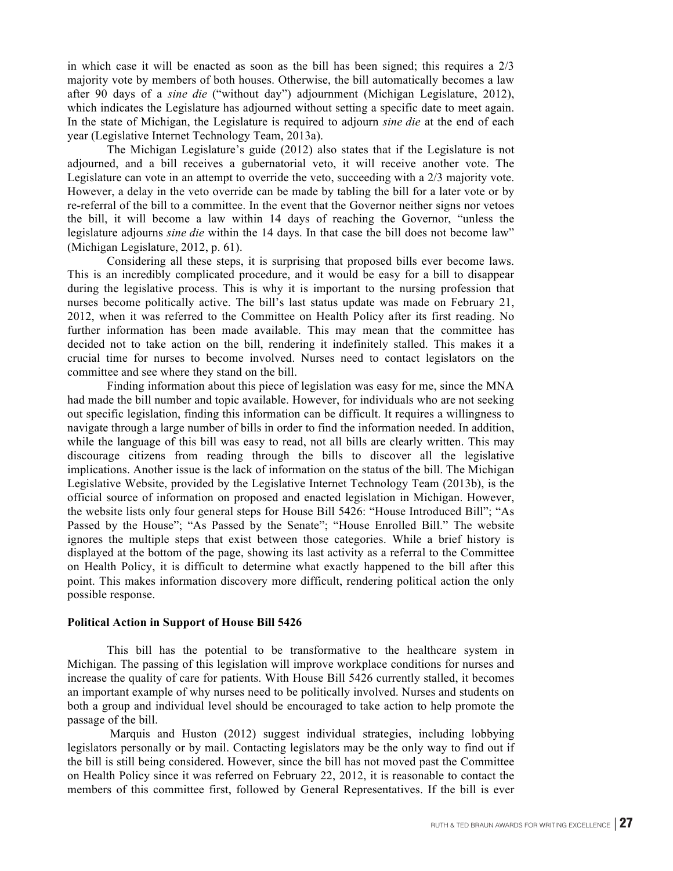in which case it will be enacted as soon as the bill has been signed; this requires a 2/3 majority vote by members of both houses. Otherwise, the bill automatically becomes a law after 90 days of a *sine die* ("without day") adjournment (Michigan Legislature, 2012), which indicates the Legislature has adjourned without setting a specific date to meet again. In the state of Michigan, the Legislature is required to adjourn *sine die* at the end of each year (Legislative Internet Technology Team, 2013a).

The Michigan Legislature's guide (2012) also states that if the Legislature is not adjourned, and a bill receives a gubernatorial veto, it will receive another vote. The Legislature can vote in an attempt to override the veto, succeeding with a 2/3 majority vote. However, a delay in the veto override can be made by tabling the bill for a later vote or by re-referral of the bill to a committee. In the event that the Governor neither signs nor vetoes the bill, it will become a law within 14 days of reaching the Governor, "unless the legislature adjourns *sine die* within the 14 days. In that case the bill does not become law" (Michigan Legislature, 2012, p. 61).

Considering all these steps, it is surprising that proposed bills ever become laws. This is an incredibly complicated procedure, and it would be easy for a bill to disappear during the legislative process. This is why it is important to the nursing profession that nurses become politically active. The bill's last status update was made on February 21, 2012, when it was referred to the Committee on Health Policy after its first reading. No further information has been made available. This may mean that the committee has decided not to take action on the bill, rendering it indefinitely stalled. This makes it a crucial time for nurses to become involved. Nurses need to contact legislators on the committee and see where they stand on the bill.

Finding information about this piece of legislation was easy for me, since the MNA had made the bill number and topic available. However, for individuals who are not seeking out specific legislation, finding this information can be difficult. It requires a willingness to navigate through a large number of bills in order to find the information needed. In addition, while the language of this bill was easy to read, not all bills are clearly written. This may discourage citizens from reading through the bills to discover all the legislative implications. Another issue is the lack of information on the status of the bill. The Michigan Legislative Website, provided by the Legislative Internet Technology Team (2013b), is the official source of information on proposed and enacted legislation in Michigan. However, the website lists only four general steps for House Bill 5426: "House Introduced Bill"; "As Passed by the House"; "As Passed by the Senate"; "House Enrolled Bill." The website ignores the multiple steps that exist between those categories. While a brief history is displayed at the bottom of the page, showing its last activity as a referral to the Committee on Health Policy, it is difficult to determine what exactly happened to the bill after this point. This makes information discovery more difficult, rendering political action the only possible response.

# **Political Action in Support of House Bill 5426**

This bill has the potential to be transformative to the healthcare system in Michigan. The passing of this legislation will improve workplace conditions for nurses and increase the quality of care for patients. With House Bill 5426 currently stalled, it becomes an important example of why nurses need to be politically involved. Nurses and students on both a group and individual level should be encouraged to take action to help promote the passage of the bill.

Marquis and Huston (2012) suggest individual strategies, including lobbying legislators personally or by mail. Contacting legislators may be the only way to find out if the bill is still being considered. However, since the bill has not moved past the Committee on Health Policy since it was referred on February 22, 2012, it is reasonable to contact the members of this committee first, followed by General Representatives. If the bill is ever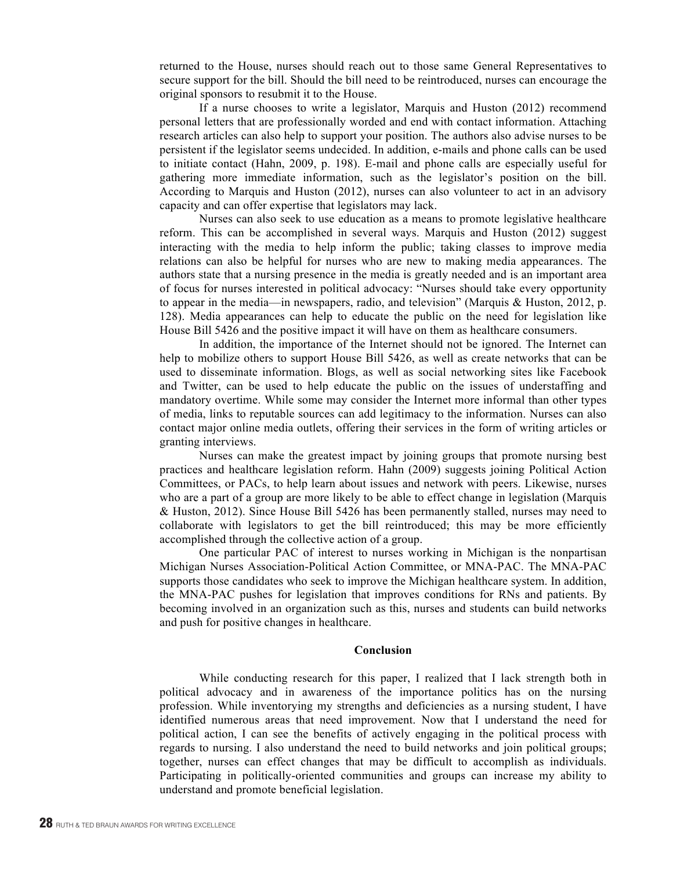returned to the House, nurses should reach out to those same General Representatives to secure support for the bill. Should the bill need to be reintroduced, nurses can encourage the original sponsors to resubmit it to the House.

If a nurse chooses to write a legislator, Marquis and Huston (2012) recommend personal letters that are professionally worded and end with contact information. Attaching research articles can also help to support your position. The authors also advise nurses to be persistent if the legislator seems undecided. In addition, e-mails and phone calls can be used to initiate contact (Hahn, 2009, p. 198). E-mail and phone calls are especially useful for gathering more immediate information, such as the legislator's position on the bill. According to Marquis and Huston (2012), nurses can also volunteer to act in an advisory capacity and can offer expertise that legislators may lack.

Nurses can also seek to use education as a means to promote legislative healthcare reform. This can be accomplished in several ways. Marquis and Huston (2012) suggest interacting with the media to help inform the public; taking classes to improve media relations can also be helpful for nurses who are new to making media appearances. The authors state that a nursing presence in the media is greatly needed and is an important area of focus for nurses interested in political advocacy: "Nurses should take every opportunity to appear in the media—in newspapers, radio, and television" (Marquis & Huston, 2012, p. 128). Media appearances can help to educate the public on the need for legislation like House Bill 5426 and the positive impact it will have on them as healthcare consumers.

In addition, the importance of the Internet should not be ignored. The Internet can help to mobilize others to support House Bill 5426, as well as create networks that can be used to disseminate information. Blogs, as well as social networking sites like Facebook and Twitter, can be used to help educate the public on the issues of understaffing and mandatory overtime. While some may consider the Internet more informal than other types of media, links to reputable sources can add legitimacy to the information. Nurses can also contact major online media outlets, offering their services in the form of writing articles or granting interviews.

Nurses can make the greatest impact by joining groups that promote nursing best practices and healthcare legislation reform. Hahn (2009) suggests joining Political Action Committees, or PACs, to help learn about issues and network with peers. Likewise, nurses who are a part of a group are more likely to be able to effect change in legislation (Marquis & Huston, 2012). Since House Bill 5426 has been permanently stalled, nurses may need to collaborate with legislators to get the bill reintroduced; this may be more efficiently accomplished through the collective action of a group.

One particular PAC of interest to nurses working in Michigan is the nonpartisan Michigan Nurses Association-Political Action Committee, or MNA-PAC. The MNA-PAC supports those candidates who seek to improve the Michigan healthcare system. In addition, the MNA-PAC pushes for legislation that improves conditions for RNs and patients. By becoming involved in an organization such as this, nurses and students can build networks and push for positive changes in healthcare.

#### **Conclusion**

While conducting research for this paper, I realized that I lack strength both in political advocacy and in awareness of the importance politics has on the nursing profession. While inventorying my strengths and deficiencies as a nursing student, I have identified numerous areas that need improvement. Now that I understand the need for political action, I can see the benefits of actively engaging in the political process with regards to nursing. I also understand the need to build networks and join political groups; together, nurses can effect changes that may be difficult to accomplish as individuals. Participating in politically-oriented communities and groups can increase my ability to understand and promote beneficial legislation.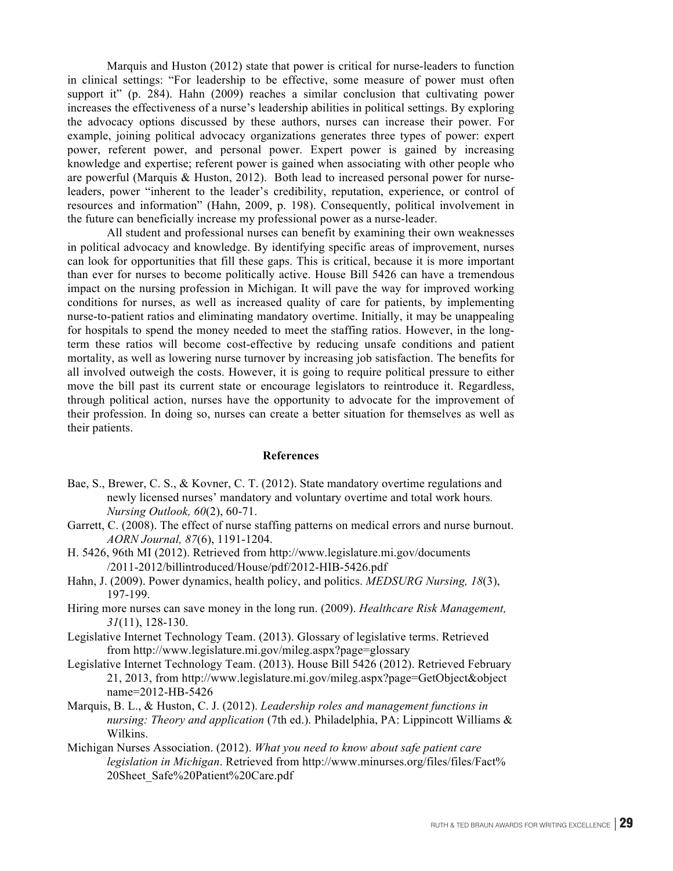Marquis and Huston (2012) state that power is critical for nurse-leaders to function in clinical settings: "For leadership to be effective, some measure of power must often support it" (p. 284). Hahn (2009) reaches a similar conclusion that cultivating power increases the effectiveness of a nurse's leadership abilities in political settings. By exploring the advocacy options discussed by these authors, nurses can increase their power. For example, joining political advocacy organizations generates three types of power: expert power, referent power, and personal power. Expert power is gained by increasing knowledge and expertise; referent power is gained when associating with other people who are powerful (Marquis & Huston, 2012). Both lead to increased personal power for nurseleaders, power "inherent to the leader's credibility, reputation, experience, or control of resources and information" (Hahn, 2009, p. 198). Consequently, political involvement in the future can beneficially increase my professional power as a nurse-leader.

All student and professional nurses can benefit by examining their own weaknesses in political advocacy and knowledge. By identifying specific areas of improvement, nurses can look for opportunities that fill these gaps. This is critical, because it is more important than ever for nurses to become politically active. House Bill 5426 can have a tremendous impact on the nursing profession in Michigan. It will pave the way for improved working conditions for nurses, as well as increased quality of care for patients, by implementing nurse-to-patient ratios and eliminating mandatory overtime. Initially, it may be unappealing for hospitals to spend the money needed to meet the staffing ratios. However, in the longterm these ratios will become cost-effective by reducing unsafe conditions and patient mortality, as well as lowering nurse turnover by increasing job satisfaction. The benefits for all involved outweigh the costs. However, it is going to require political pressure to either move the bill past its current state or encourage legislators to reintroduce it. Regardless, through political action, nurses have the opportunity to advocate for the improvement of their profession. In doing so, nurses can create a better situation for themselves as well as their patients.

#### **References**

- Bae, S., Brewer, C. S., & Kovner, C. T. (2012). State mandatory overtime regulations and newly licensed nurses' mandatory and voluntary overtime and total work hours*. Nursing Outlook, 60*(2), 60-71.
- Garrett, C. (2008). The effect of nurse staffing patterns on medical errors and nurse burnout. *AORN Journal, 87*(6), 1191-1204.
- H. 5426, 96th MI (2012). Retrieved from http://www.legislature.mi.gov/documents /2011-2012/billintroduced/House/pdf/2012-HIB-5426.pdf
- Hahn, J. (2009). Power dynamics, health policy, and politics. *MEDSURG Nursing, 18*(3), 197-199.
- Hiring more nurses can save money in the long run. (2009). *Healthcare Risk Management, 31*(11), 128-130.
- Legislative Internet Technology Team. (2013). Glossary of legislative terms. Retrieved from http://www.legislature.mi.gov/mileg.aspx?page=glossary
- Legislative Internet Technology Team. (2013). House Bill 5426 (2012). Retrieved February 21, 2013, from http://www.legislature.mi.gov/mileg.aspx?page=GetObject&object name=2012-HB-5426
- Marquis, B. L., & Huston, C. J. (2012). *Leadership roles and management functions in nursing: Theory and application* (7th ed.). Philadelphia, PA: Lippincott Williams & Wilkins.
- Michigan Nurses Association. (2012). *What you need to know about safe patient care legislation in Michigan*. Retrieved from http://www.minurses.org/files/files/Fact% 20Sheet\_Safe%20Patient%20Care.pdf